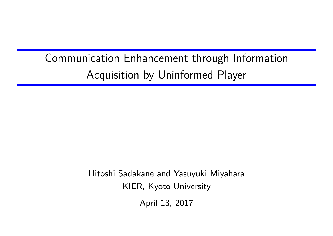Communication Enhancement through Information Acquisition by Uninformed Player

> Hitoshi Sadakane and Yasuyuki Miyahara KIER, Kyoto University April 13, 2017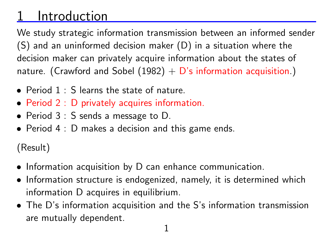## **Introduction**

We study strategic information transmission between an informed sender (S) and an uninformed decision maker (D) in a situation where the decision maker can privately acquire information about the states of nature. (Crawford and Sobel  $(1982) + D's$  information acquisition.)

- *•* Period 1 : S learns the state of nature.
- *•* Period 2 : D privately acquires information.
- *•* Period 3 : S sends a message to D.
- *•* Period 4 : D makes a decision and this game ends.

(Result)

- *•* Information acquisition by D can enhance communication.
- *•* Information structure is endogenized, namely, it is determined which information D acquires in equilibrium.
- *•* The D's information acquisition and the S's information transmission are mutually dependent.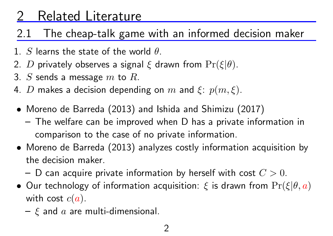## **Related Literature**

## 2.1 The cheap-talk game with an informed decision maker

- 1. *S* learns the state of the world *θ*.
- 2. *D* privately observes a signal *ξ* drawn from Pr(*ξ|θ*).
- 3. *S* sends a message *m* to *R*.
- 4. *D* makes a decision depending on *m* and *ξ*: *p*(*m, ξ*).
- *•* Moreno de Barreda (2013) and Ishida and Shimizu (2017)
	- **–** The welfare can be improved when D has a private information in comparison to the case of no private information.
- *•* Moreno de Barreda (2013) analyzes costly information acquisition by the decision maker.
	- **–** D can acquire private information by herself with cost *C >* 0.
- *•* Our technology of information acquisition: *ξ* is drawn from Pr(*ξ|θ, a*) with cost  $c(a)$ .
	- **–** *ξ* and *a* are multi-dimensional.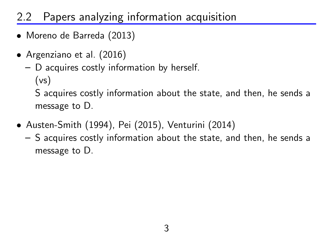## 2.2 Papers analyzing information acquisition

- *•* Moreno de Barreda (2013)
- *•* Argenziano et al. (2016)
	- **–** D acquires costly information by herself.

 $(vs)$ 

S acquires costly information about the state, and then, he sends a message to D.

- *•* Austen-Smith (1994), Pei (2015), Venturini (2014)
	- **–** S acquires costly information about the state, and then, he sends a message to D.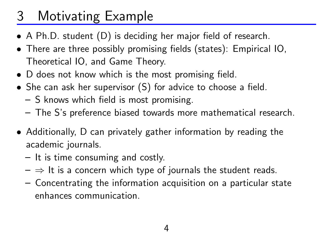# 3 Motivating Example

- *•* A Ph.D. student (D) is deciding her major field of research.
- *•* There are three possibly promising fields (states): Empirical IO, Theoretical IO, and Game Theory.
- *•* D does not know which is the most promising field.
- *•* She can ask her supervisor (S) for advice to choose a field.
	- **–** S knows which field is most promising.
	- **–** The S's preference biased towards more mathematical research.
- Additionally, D can privately gather information by reading the academic journals.
	- **–** It is time consuming and costly.
	- **–** *⇒* It is a concern which type of journals the student reads.
	- **–** Concentrating the information acquisition on a particular state enhances communication.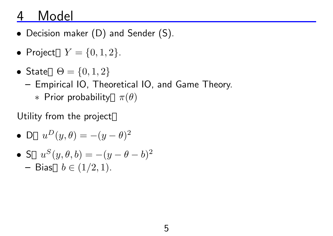## 4 Model

- *•* Decision maker (D) and Sender (S).
- Project  $Y = \{0, 1, 2\}$ .
- State  $\Theta = \{0, 1, 2\}$ 
	- **–** Empirical IO, Theoretical IO, and Game Theory.
		- *∗* Prior probability *π*(*θ*)

Utility from the project

- D  $u^D(y, \theta) = -(y \theta)^2$
- S  $u^S(y, \theta, b) = -(y \theta b)^2$ **–** Bias *b ∈* (1*/*2*,* 1).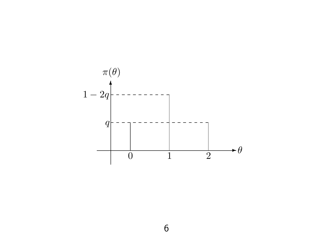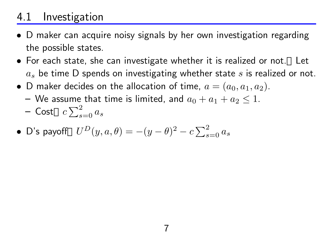## 4.1 Investigation

- *•* D maker can acquire noisy signals by her own investigation regarding the possible states.
- *•* For each state, she can investigate whether it is realized or not. Let *as* be time D spends on investigating whether state *s* is realized or not.
- D maker decides on the allocation of time,  $a = (a_0, a_1, a_2)$ .
	- $-$  We assume that time is limited, and  $a_0 + a_1 + a_2 \leq 1$ .
	- $-$  Cost  $c\sum_{s=0}^{2}a_s$
- D's payoff  $U^D(y, a, \theta) = -(y \theta)^2 c \sum_{s=0}^2 a_s$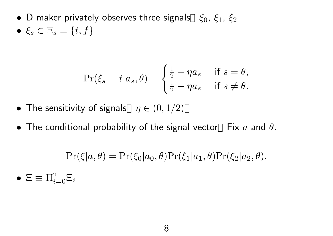- *•* D maker privately observes three signals *ξ*0, *ξ*1, *ξ*<sup>2</sup>
- $\bullet$   $\xi_s \in \Xi_s \equiv \{t,f\}$

$$
\Pr(\xi_s = t | a_s, \theta) = \begin{cases} \frac{1}{2} + \eta a_s & \text{if } s = \theta, \\ \frac{1}{2} - \eta a_s & \text{if } s \neq \theta. \end{cases}
$$

- The sensitivity of signals  $\eta \in (0, 1/2)$
- *•* The conditional probability of the signal vector Fix *a* and *θ*.

$$
\Pr(\xi|a,\theta) = \Pr(\xi_0|a_0,\theta)\Pr(\xi_1|a_1,\theta)\Pr(\xi_2|a_2,\theta).
$$

 $\bullet$   $\Xi \equiv \Pi_{i=0}^2 \Xi_i$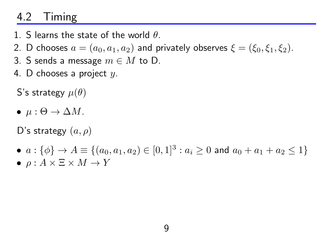## 4.2 Timing

- 1. S learns the state of the world *θ*.
- 2. D chooses  $a = (a_0, a_1, a_2)$  and privately observes  $\xi = (\xi_0, \xi_1, \xi_2)$ .
- 3. S sends a message  $m \in M$  to D.
- 4. D chooses a project *y*.
- S's strategy  $\mu(\theta)$
- $\mu$ :  $\Theta \rightarrow \Delta M$ .
- D's strategy (*a, ρ*)
- $\bullet$  *a* : { $\phi$ } → *A*  $\equiv$  {( $a_0, a_1, a_2$ )  $\in$  [0,1]<sup>3</sup> :  $a_i \ge 0$  and  $a_0 + a_1 + a_2 \le 1$ }
- $\bullet$   $\rho: A \times \Xi \times M \rightarrow Y$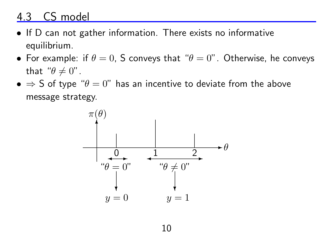## 4.3 CS model

- If D can not gather information. There exists no informative equilibrium.
- For example: if  $\theta = 0$ , S conveys that " $\theta = 0$ ". Otherwise, he conveys that " $\theta \neq 0$ ".
- $\bullet \Rightarrow S$  of type " $\theta = 0$ " has an incentive to deviate from the above message strategy.

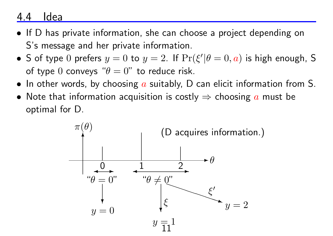#### 4.4 Idea

- If D has private information, she can choose a project depending on S's message and her private information.
- S of type  $0$  prefers  $y = 0$  to  $y = 2$ . If  $\Pr(\xi'|\theta = 0, a)$  is high enough, S of type 0 conveys " $\theta = 0$ " to reduce risk.
- *•* In other words, by choosing *a* suitably, D can elicit information from S.
- *•* Note that information acquisition is costly *⇒* choosing *a* must be optimal for D.

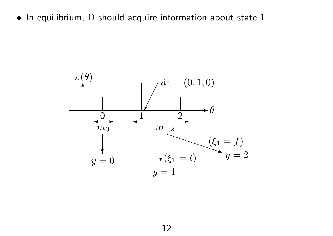*•* In equilibrium, D should acquire information about state 1.

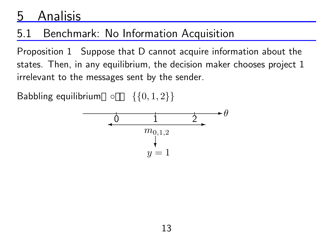## 5 Analisis

## 5.1 Benchmark: No Information Acquisition

Proposition 1 Suppose that D cannot acquire information about the states. Then, in any equilibrium, the decision maker chooses project 1 irrelevant to the messages sent by the sender.

Babbling equilibrium *◦*): *{{*0*,* 1*,* 2*}}*

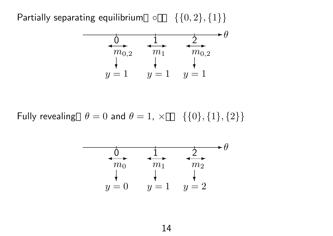Partially separating equilibrium *◦*): *{{*0*,* 2*}, {*1*}}*



**Fully revealing**  $θ = 0$  and  $θ = 1$ ,  $×$  {{0}, {1}, {2}}

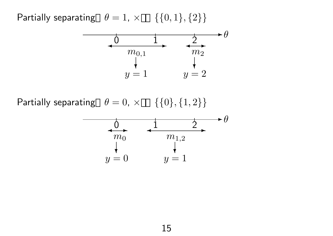Partially separating  $\theta = 1$ ,  $\times$  {{0*,* 1}*,* {2}}



Partially separating  $\theta = 0, \times$  {{0}, {1, 2}}

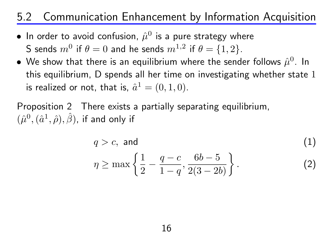## 5.2 Communication Enhancement by Information Acquisition

- $\bullet\,$  In order to avoid confusion,  $\hat{\mu}^{0}$  is a pure strategy where  $S$  sends  $m^0$  if  $\theta = 0$  and he sends  $m^{1,2}$  if  $\theta = \{1,2\}.$
- $\bullet\,$  We show that there is an equilibrium where the sender follows  $\hat{\mu}^0.$  In this equilibrium, D spends all her time on investigating whether state 1 is realized or not, that is,  $\hat{a}^1 = (0,1,0)$ .

Proposition 2 There exists a partially separating equilibrium,  $(\hat{\mu}^0, (\hat{a}^1, \hat{\rho}), \hat{\beta})$ , if and only if

$$
q > c
$$
, and  
\n $\eta \ge \max \left\{ \frac{1}{2} - \frac{q - c}{1 - q}, \frac{6b - 5}{2(3 - 2b)} \right\}.$  (1)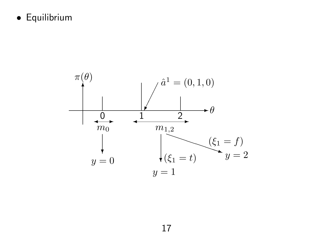*•* Equilibrium

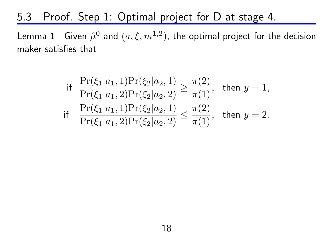#### 5.3 Proof. Step 1: Optimal project for D at stage 4.

Lemma  $1$  Given  $\hat{\mu}^0$  and  $(a,\xi,m^{1,2})$ , the optimal project for the decision maker satisfies that

$$
\begin{aligned}\n\text{if } \frac{\Pr(\xi_1|a_1,1)\Pr(\xi_2|a_2,1)}{\Pr(\xi_1|a_1,2)\Pr(\xi_2|a_2,2)} &\geq \frac{\pi(2)}{\pi(1)}, \text{ then } y=1, \\
\text{if } \frac{\Pr(\xi_1|a_1,1)\Pr(\xi_2|a_2,1)}{\Pr(\xi_1|a_1,2)\Pr(\xi_2|a_2,2)} &\leq \frac{\pi(2)}{\pi(1)}, \text{ then } y=2.\n\end{aligned}
$$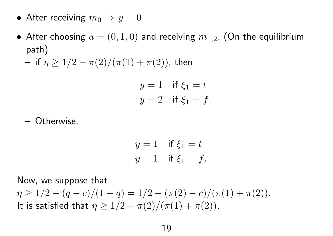- After receiving  $m_0 \Rightarrow y = 0$
- After choosing  $\hat{a} = (0, 1, 0)$  and receiving  $m_{1,2}$ , (On the equilibrium path)
	- **–** if *η ≥* 1*/*2 *− π*(2)*/*(*π*(1) + *π*(2)), then

$$
y = 1 \quad \text{if } \xi_1 = t
$$
  

$$
y = 2 \quad \text{if } \xi_1 = f.
$$

**–** Otherwise,

$$
y = 1 \quad \text{if } \xi_1 = t
$$
  

$$
y = 1 \quad \text{if } \xi_1 = f.
$$

Now, we suppose that  $\eta \geq 1/2 - (q - c)/(1 - q) = 1/2 - (\pi(2) - c)/(\pi(1) + \pi(2)).$ It is satisfied that  $\eta \geq 1/2 - \pi(2)/(\pi(1) + \pi(2))$ .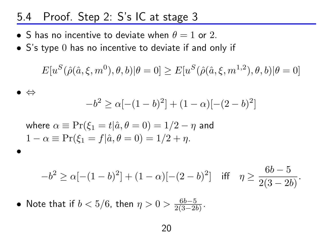#### 5.4 Proof. Step 2: S's IC at stage 3

*• ⇔*

*•*

- *•* S has no incentive to deviate when *θ* = 1 or 2.
- *•* S's type 0 has no incentive to deviate if and only if

 $E[u^S(\hat{\rho}(\hat{a}, \xi, m^0), \theta, b)|\theta = 0] \ge E[u^S(\hat{\rho}(\hat{a}, \xi, m^{1,2}), \theta, b)|\theta = 0]$ 

$$
-b^2 \ge \alpha [-(1-b)^2] + (1-\alpha) [-(2-b)^2]
$$

where  $\alpha \equiv \Pr(\xi_1 = t | \hat{a}, \theta = 0) = 1/2 - \eta$  and  $1 - \alpha \equiv Pr(\xi_1 = f | \hat{a}, \theta = 0) = 1/2 + \eta.$ 

$$
-b^2 \ge \alpha[-(1-b)^2] + (1-\alpha)[-(2-b)^2] \quad \text{iff} \quad \eta \ge \frac{6b-5}{2(3-2b)}.
$$

• Note that if *b* < 5/6, then  $η > 0 > \frac{6b-5}{2(3-2b)}$  $\frac{6b-5}{2(3-2b)}$ .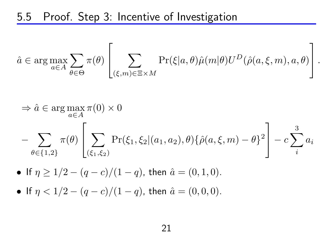5.5 Proof. Step 3: Incentive of Investigation

$$
\hat{a} \in \arg \max_{a \in A} \sum_{\theta \in \Theta} \pi(\theta) \left[ \sum_{(\xi,m) \in \Xi \times M} \Pr(\xi|a,\theta) \hat{\mu}(m|\theta) U^D(\hat{\rho}(a,\xi,m),a,\theta) \right].
$$

$$
\Rightarrow \hat{a} \in \arg\max_{a \in A} \pi(0) \times 0
$$

$$
-\sum_{\theta \in \{1,2\}} \pi(\theta) \left[ \sum_{(\xi_1, \xi_2)} \Pr(\xi_1, \xi_2 | (a_1, a_2), \theta) \{ \hat{\rho}(a, \xi, m) - \theta \}^2 \right] - c \sum_{i} \frac{3}{a_i}
$$

- If  $\eta \geq 1/2 (q c)/(1 q)$ , then  $\hat{a} = (0, 1, 0)$ .
- If  $\eta < 1/2 (q c)/(1 q)$ , then  $\hat{a} = (0, 0, 0)$ .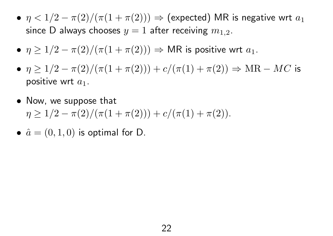- $\eta < 1/2 \pi(2)/(\pi(1 + \pi(2))) \Rightarrow$  (expected) MR is negative wrt  $a_1$ since D always chooses  $y = 1$  after receiving  $m_{1,2}$ .
- $\eta \geq 1/2 \pi(2)/(\pi(1 + \pi(2))) \Rightarrow MR$  is positive wrt  $a_1$ .
- $\bullet$  *η*  $\geq 1/2 \pi(2)/(\pi(1 + \pi(2))) + c/(\pi(1) + \pi(2)) \Rightarrow MR MC$  is positive wrt *a*1.
- Now, we suppose that  $\eta > 1/2 - \pi(2)/(\pi(1 + \pi(2))) + c/(\pi(1) + \pi(2)).$
- $\hat{a} = (0, 1, 0)$  is optimal for D.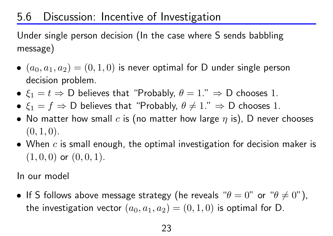## 5.6 Discussion: Incentive of Investigation

Under single person decision (In the case where S sends babbling message)

- $(a_0, a_1, a_2) = (0, 1, 0)$  is never optimal for D under single person decision problem.
- $\xi_1 = t \Rightarrow D$  believes that "Probably,  $\theta = 1$ ."  $\Rightarrow D$  chooses 1.
- $\xi_1 = f \Rightarrow D$  believes that "Probably,  $\theta \neq 1$ ."  $\Rightarrow D$  chooses 1.
- *•* No matter how small *c* is (no matter how large *η* is), D never chooses  $(0, 1, 0).$
- *•* When *c* is small enough, the optimal investigation for decision maker is  $(1, 0, 0)$  or  $(0, 0, 1)$ .

In our model

• If S follows above message strategy (he reveals " $\theta = 0$ " or " $\theta \neq 0$ "), the investigation vector  $(a_0, a_1, a_2) = (0, 1, 0)$  is optimal for D.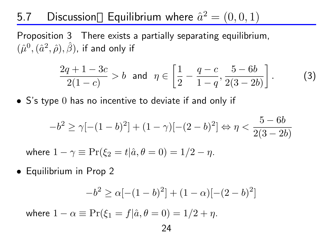## 5.7 Discussion Equilibrium where  $\hat{a}^2 = (0,0,1)$

Proposition 3 There exists a partially separating equilibrium,  $(\hat{\mu}^{0},(\hat{a}^{2},\hat{\rho}),\hat{\beta})$ , if and only if

$$
\frac{2q+1-3c}{2(1-c)} > b \text{ and } \eta \in \left[\frac{1}{2} - \frac{q-c}{1-q}, \frac{5-6b}{2(3-2b)}\right].
$$
 (3)

*•* S's type 0 has no incentive to deviate if and only if

$$
-b^2 \ge \gamma[-(1-b)^2] + (1-\gamma)[-(2-b)^2] \Leftrightarrow \eta < \frac{5-6b}{2(3-2b)}
$$

 $\text{where } 1 - \gamma \equiv \Pr(\xi_2 = t | \hat{a}, \theta = 0) = 1/2 - \eta.$ 

*•* Equilibrium in Prop 2

$$
-b^2 \ge \alpha [-(1-b)^2] + (1-\alpha) [-(2-b)^2]
$$

 $\text{where } 1 - \alpha \equiv \Pr(\xi_1 = f | \hat{a}, \theta = 0) = 1/2 + \eta.$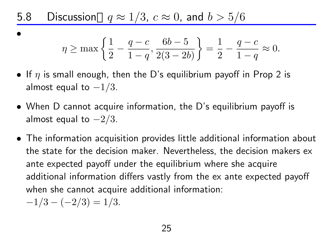## 5.8 Discussion  $q \approx 1/3$ ,  $c \approx 0$ , and  $b > 5/6$

$$
\eta \ge \max\left\{\frac{1}{2} - \frac{q-c}{1-q}, \frac{6b-5}{2(3-2b)}\right\} = \frac{1}{2} - \frac{q-c}{1-q} \approx 0.
$$

- *•* If *η* is small enough, then the D's equilibrium payoff in Prop 2 is almost equal to *−*1*/*3.
- When D cannot acquire information, the D's equilibrium payoff is almost equal to *−*2*/*3.
- *•* The information acquisition provides little additional information about the state for the decision maker. Nevertheless, the decision makers ex ante expected payoff under the equilibrium where she acquire additional information differs vastly from the ex ante expected payoff when she cannot acquire additional information:

$$
-1/3 - (-2/3) = 1/3.
$$

*•*